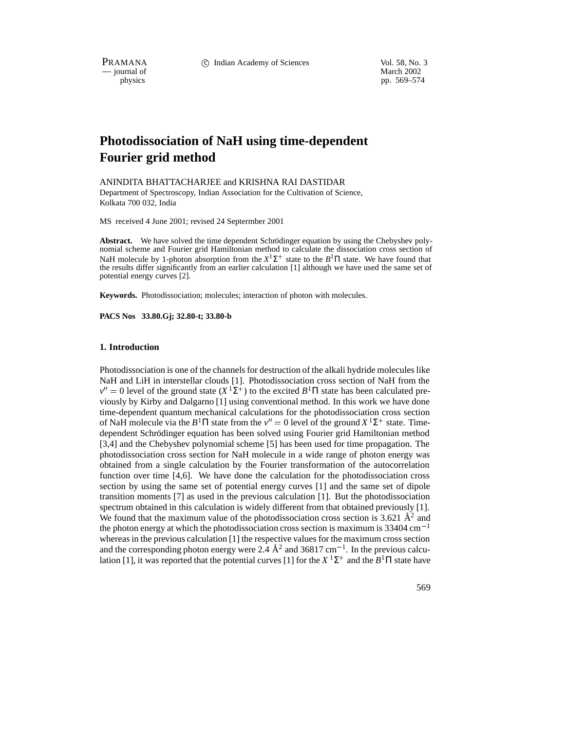PRAMANA 
<sup>c</sup> Indian Academy of Sciences 
<sup>Vol. 58, No. 3

<sup>c</sup> Vol. 58, No. 3
<sup>c</sup> Vol. 59, No. 3
<sup>1</sup></sup>

 $-$  journal of physics

pp. 569–574

# **Photodissociation of NaH using time-dependent Fourier grid method**

ANINDITA BHATTACHARJEE and KRISHNA RAI DASTIDAR Department of Spectroscopy, Indian Association for the Cultivation of Science, Kolkata 700 032, India

MS received 4 June 2001; revised 24 Septermber 2001

**Abstract.** We have solved the time dependent Schrödinger equation by using the Chebyshev polynomial scheme and Fourier grid Hamiltonian method to calculate the dissociation cross section of NaH molecule by 1-photon absorption from the  $X^1\Sigma^+$  state to the  $B^1\Pi$  state. We have found that the results differ significantly from an earlier calculation [1] although we have used the same set of potential energy curves [2].

**Keywords.** Photodissociation; molecules; interaction of photon with molecules.

**PACS Nos 33.80.Gj; 32.80-t; 33.80-b**

#### **1. Introduction**

Photodissociation is one of the channels for destruction of the alkali hydride molecules like NaH and LiH in interstellar clouds [1]. Photodissociation cross section of NaH from the  $v'' = 0$  level of the ground state  $(X<sup>1</sup>Σ<sup>+</sup>)$  to the excited  $B<sup>1</sup>Π$  state has been calculated previously by Kirby and Dalgarno [1] using conventional method. In this work we have done time-dependent quantum mechanical calculations for the photodissociation cross section of NaH molecule via the  $B<sup>1</sup>$ Π state from the  $v'' = 0$  level of the ground  $X<sup>1</sup>Σ<sup>+</sup>$  state. Timedependent Schrödinger equation has been solved using Fourier grid Hamiltonian method [3,4] and the Chebyshev polynomial scheme [5] has been used for time propagation. The photodissociation cross section for NaH molecule in a wide range of photon energy was obtained from a single calculation by the Fourier transformation of the autocorrelation function over time [4,6]. We have done the calculation for the photodissociation cross section by using the same set of potential energy curves [1] and the same set of dipole transition moments [7] as used in the previous calculation [1]. But the photodissociation spectrum obtained in this calculation is widely different from that obtained previously [1]. We found that the maximum value of the photodissociation cross section is 3.621  $\AA^2$  and the photon energy at which the photodissociation cross section is maximum is 33404 cm<sup>-1</sup> whereas in the previous calculation [1] the respective values for the maximum cross section and the corresponding photon energy were  $2.\overline{4} \text{ Å}^2$  and  $36817 \text{ cm}^{-1}$ . In the previous calculation [1], it was reported that the potential curves [1] for the  $X$ <sup>1</sup> $\Sigma$ <sup>+</sup> and the  $B$ <sup>1</sup> $\Pi$  state have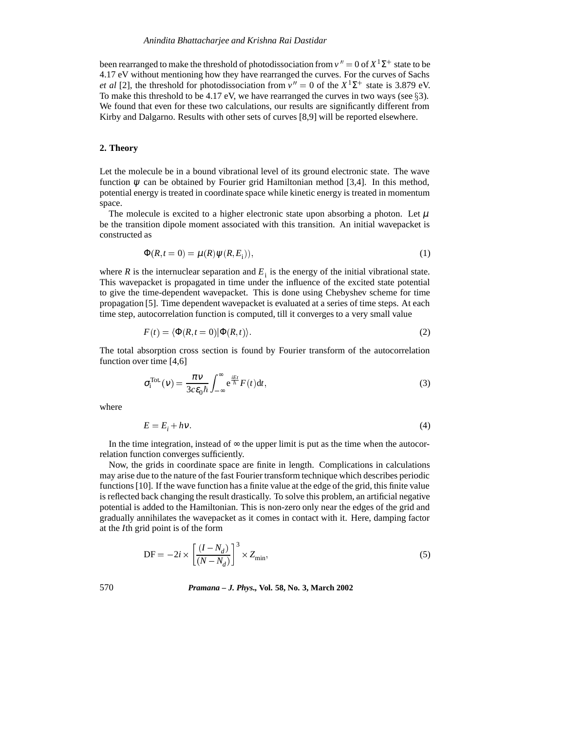been rearranged to make the threshold of photodissociation from  $v'' = 0$  of  $X^1\Sigma^+$  state to be 4.17 eV without mentioning how they have rearranged the curves. For the curves of Sachs *et al* [2], the threshold for photodissociation from  $v'' = 0$  of the  $X^1\Sigma^+$  state is 3.879 eV. To make this threshold to be 4.17 eV, we have rearranged the curves in two ways (see  $\S 3$ ). We found that even for these two calculations, our results are significantly different from Kirby and Dalgarno. Results with other sets of curves [8,9] will be reported elsewhere.

## **2. Theory**

Let the molecule be in a bound vibrational level of its ground electronic state. The wave function  $\psi$  can be obtained by Fourier grid Hamiltonian method [3,4]. In this method, potential energy is treated in coordinate space while kinetic energy is treated in momentum space.

The molecule is excited to a higher electronic state upon absorbing a photon. Let  $\mu$ be the transition dipole moment associated with this transition. An initial wavepacket is constructed as

$$
\Phi(R, t=0) = \mu(R)\psi(R, E_i)),\tag{1}
$$

where *R* is the internuclear separation and  $E_i$  is the energy of the initial vibrational state. This wavepacket is propagated in time under the influence of the excited state potential to give the time-dependent wavepacket. This is done using Chebyshev scheme for time propagation [5]. Time dependent wavepacket is evaluated at a series of time steps. At each time step, autocorrelation function is computed, till it converges to a very small value

$$
F(t) = \langle \Phi(R, t=0) | \Phi(R, t) \rangle.
$$
 (2)

The total absorption cross section is found by Fourier transform of the autocorrelation function over time [4,6]

$$
\sigma_i^{\text{Tot.}}(v) = \frac{\pi v}{3c\epsilon_0 \hbar} \int_{-\infty}^{\infty} e^{\frac{iEt}{\hbar}} F(t) dt,
$$
\n(3)

where

$$
E = E_i + hv. \tag{4}
$$

In the time integration, instead of  $\infty$  the upper limit is put as the time when the autocorrelation function converges sufficiently.

Now, the grids in coordinate space are finite in length. Complications in calculations may arise due to the nature of the fast Fourier transform technique which describes periodic functions [10]. If the wave function has a finite value at the edge of the grid, this finite value is reflected back changing the result drastically. To solve this problem, an artificial negative potential is added to the Hamiltonian. This is non-zero only near the edges of the grid and gradually annihilates the wavepacket as it comes in contact with it. Here, damping factor at the *I*th grid point is of the form

$$
DF = -2i \times \left[ \frac{(I - N_d)}{(N - N_d)} \right]^3 \times Z_{\text{min}},\tag{5}
$$

570 *Pramana – J. Phys.,* **Vol. 58, No. 3, March 2002**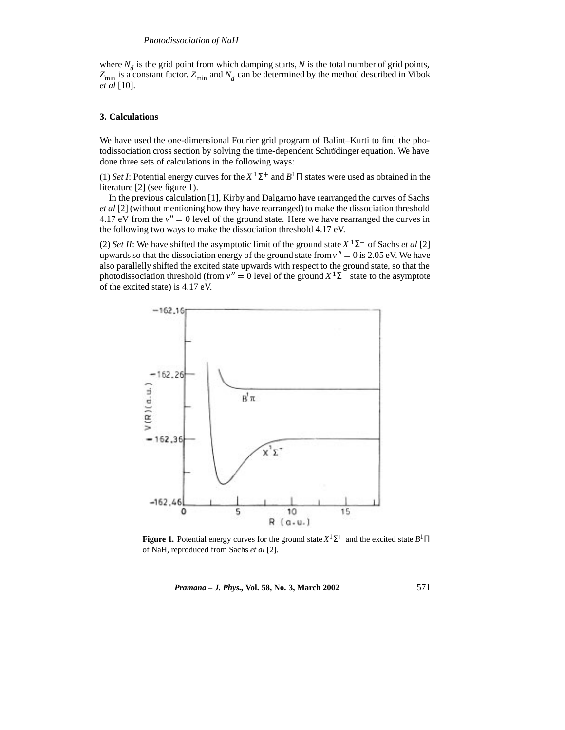where  $N_d$  is the grid point from which damping starts,  $N$  is the total number of grid points,  $Z_{\text{min}}$  is a constant factor.  $Z_{\text{min}}$  and  $N_d$  can be determined by the method described in Vibok *et al* [10].

#### **3. Calculations**

We have used the one-dimensional Fourier grid program of Balint–Kurti to find the photodissociation cross section by solving the time-dependent Schrödinger equation. We have done three sets of calculations in the following ways:

(1) *Set I*: Potential energy curves for the  $X^1\Sigma^+$  and  $B^1\Pi$  states were used as obtained in the literature [2] (see figure 1).

In the previous calculation [1], Kirby and Dalgarno have rearranged the curves of Sachs *et al* [2] (without mentioning how they have rearranged) to make the dissociation threshold 4.17 eV from the  $v'' = 0$  level of the ground state. Here we have rearranged the curves in the following two ways to make the dissociation threshold 4.17 eV.

(2) *Set II*: We have shifted the asymptotic limit of the ground state  $X$ <sup>1</sup> $\Sigma$ <sup>+</sup> of Sachs *et al* [2] upwards so that the dissociation energy of the ground state from  $v'' = 0$  is 2.05 eV. We have also parallelly shifted the excited state upwards with respect to the ground state, so that the photodissociation threshold (from  $v'' = 0$  level of the ground  $X^1\Sigma^+$  state to the asymptote of the excited state) is 4.17 eV.



**Figure 1.** Potential energy curves for the ground state  $X^1\Sigma^+$  and the excited state  $B^1\Pi$ of NaH, reproduced from Sachs *et al* [2].

*Pramana – J. Phys.,* **Vol. 58, No. 3, March 2002** 571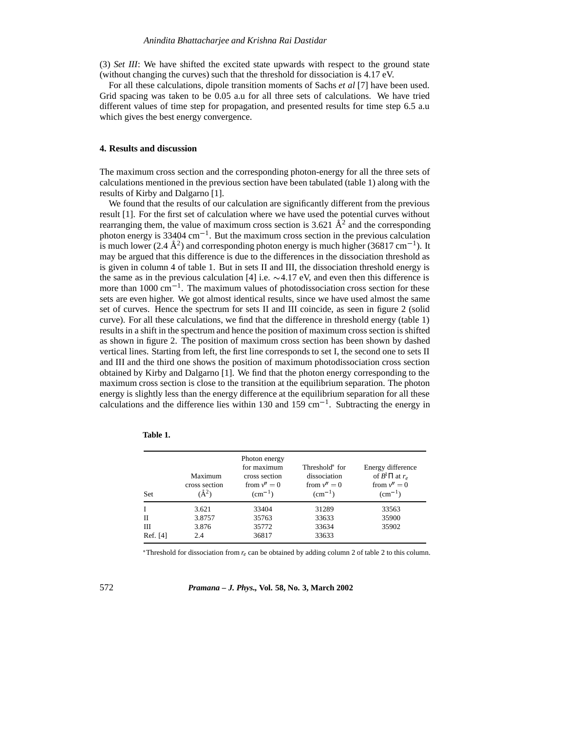(3) *Set III*: We have shifted the excited state upwards with respect to the ground state (without changing the curves) such that the threshold for dissociation is 4.17 eV.

For all these calculations, dipole transition moments of Sachs *et al* [7] have been used. Grid spacing was taken to be 0.05 a.u for all three sets of calculations. We have tried different values of time step for propagation, and presented results for time step 6.5 a.u which gives the best energy convergence.

#### **4. Results and discussion**

The maximum cross section and the corresponding photon-energy for all the three sets of calculations mentioned in the previous section have been tabulated (table 1) along with the results of Kirby and Dalgarno [1].

We found that the results of our calculation are significantly different from the previous result [1]. For the first set of calculation where we have used the potential curves without rearranging them, the value of maximum cross section is 3.621  $\AA^2$  and the corresponding photon energy is 33404 cm<sup>-1</sup>. But the maximum cross section in the previous calculation is much lower (2.4  $\AA^2$ ) and corresponding photon energy is much higher (36817 cm<sup>-1</sup>). It may be argued that this difference is due to the differences in the dissociation threshold as is given in column 4 of table 1. But in sets II and III, the dissociation threshold energy is the same as in the previous calculation [4] i.e.  $\sim$ 4.17 eV, and even then this difference is more than  $1000 \text{ cm}^{-1}$ . The maximum values of photodissociation cross section for these sets are even higher. We got almost identical results, since we have used almost the same set of curves. Hence the spectrum for sets II and III coincide, as seen in figure 2 (solid curve). For all these calculations, we find that the difference in threshold energy (table 1) results in a shift in the spectrum and hence the position of maximum cross section is shifted as shown in figure 2. The position of maximum cross section has been shown by dashed vertical lines. Starting from left, the first line corresponds to set I, the second one to sets II and III and the third one shows the position of maximum photodissociation cross section obtained by Kirby and Dalgarno [1]. We find that the photon energy corresponding to the maximum cross section is close to the transition at the equilibrium separation. The photon energy is slightly less than the energy difference at the equilibrium separation for all these calculations and the difference lies within 130 and 159 cm<sup>-1</sup>. Subtracting the energy in

| Set           | Maximum<br>cross section<br>$(A^2)$ | Photon energy<br>for maximum<br>cross section<br>from $v'' = 0$<br>$(cm^{-1})$ | Threshold <sup>*</sup> for<br>dissociation<br>from $v'' = 0$<br>$(cm^{-1})$ | Energy difference<br>of $B^1\Pi$ at $r_e$<br>from $v'' = 0$<br>$(cm^{-1})$ |
|---------------|-------------------------------------|--------------------------------------------------------------------------------|-----------------------------------------------------------------------------|----------------------------------------------------------------------------|
|               | 3.621                               | 33404                                                                          | 31289                                                                       | 33563                                                                      |
| Н             | 3.8757                              | 35763                                                                          | 33633                                                                       | 35900                                                                      |
| Ш<br>Ref. [4] | 3.876<br>2.4                        | 35772<br>36817                                                                 | 33634<br>33633                                                              | 35902                                                                      |

| Table |
|-------|
|-------|

Threshold for dissociation from *re* can be obtained by adding column 2 of table 2 to this column.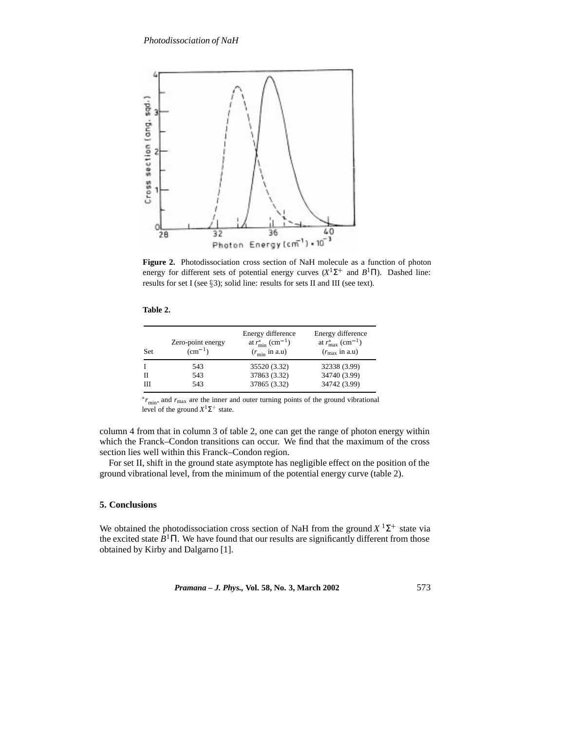

**Figure 2.** Photodissociation cross section of NaH molecule as a function of photon energy for different sets of potential energy curves  $(X^1\Sigma^+$  and  $B^1\Pi)$ . Dashed line: results for set I (see  $\S3$ ); solid line: results for sets II and III (see text).

| Set | Zero-point energy<br>$(cm^{-1})$ | Energy difference<br>at $r_{\min}^*$ (cm <sup>-1</sup> )<br>$(r_{\text{min}}$ in a.u) | Energy difference<br>at $r_{\rm max}^*$ (cm <sup>-1</sup> )<br>$(r_{\text{max}}$ in a.u) |
|-----|----------------------------------|---------------------------------------------------------------------------------------|------------------------------------------------------------------------------------------|
| I   | 543                              | 35520 (3.32)                                                                          | 32338 (3.99)                                                                             |
| Н   | 543                              | 37863 (3.32)                                                                          | 34740 (3.99)                                                                             |
| Ш   | 543                              | 37865 (3.32)                                                                          | 34742 (3.99)                                                                             |

 *r*min, and *r*max are the inner and outer turning points of the ground vibrational level of the ground  $X^1\Sigma^+$  state.

column 4 from that in column 3 of table 2, one can get the range of photon energy within which the Franck–Condon transitions can occur. We find that the maximum of the cross section lies well within this Franck–Condon region.

For set II, shift in the ground state asymptote has negligible effect on the position of the ground vibrational level, from the minimum of the potential energy curve (table 2).

# **5. Conclusions**

We obtained the photodissociation cross section of NaH from the ground  $X<sup>1</sup>\Sigma^{+}$  state via the excited state  $B<sup>1</sup>$ Π. We have found that our results are significantly different from those obtained by Kirby and Dalgarno [1].

*Pramana – J. Phys.,* **Vol. 58, No. 3, March 2002** 573